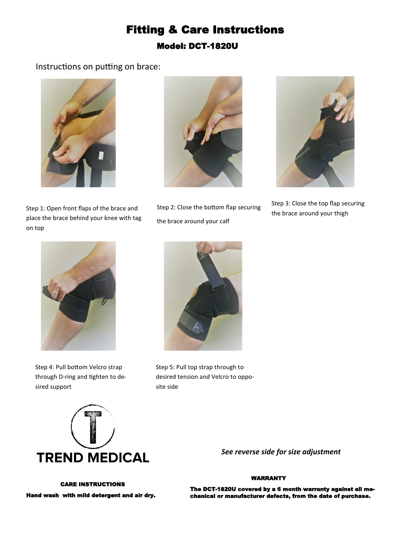## Fitting & Care Instructions Model: DCT-1820U

#### Instructions on putting on brace:





Step 1: Open front flaps of the brace and place the brace behind your knee with tag on top

Step 2: Close the bottom flap securing the brace around your calf



Step 3: Close the top flap securing the brace around your thigh



Step 4: Pull bottom Velcro strap through D-ring and tighten to desired support



Step 5: Pull top strap through to desired tension and Velcro to opposite side



*See reverse side for size adjustment*

#### WARRANTY

The DCT-1820U covered by a 6 month warranty against all mechanical or manufacturer defects, from the date of purchase.

### CARE INSTRUCTIONS Hand wash with mild detergent and air dry.